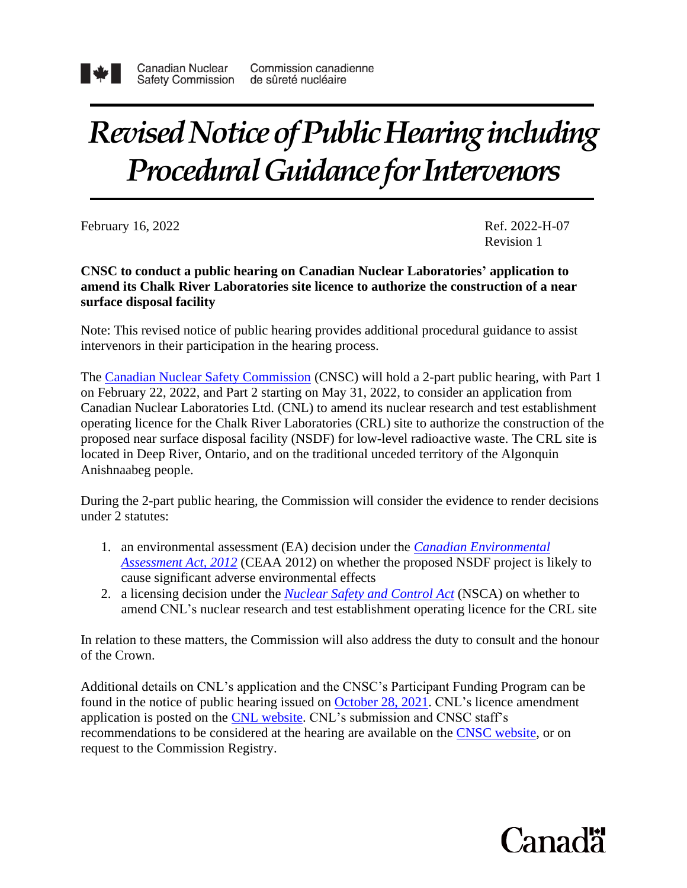

# *Revised Notice of Public Hearing including* **Procedural Guidance for Intervenors**

February 16, 2022 H-07

Revision 1

**CNSC to conduct a public hearing on Canadian Nuclear Laboratories' application to amend its Chalk River Laboratories site licence to authorize the construction of a near surface disposal facility**

Note: This revised notice of public hearing provides additional procedural guidance to assist intervenors in their participation in the hearing process.

The [Canadian Nuclear Safety Commission](http://www.nuclearsafety.gc.ca/eng/) (CNSC) will hold a 2-part public hearing, with Part 1 on February 22, 2022, and Part 2 starting on May 31, 2022, to consider an application from Canadian Nuclear Laboratories Ltd. (CNL) to amend its nuclear research and test establishment operating licence for the Chalk River Laboratories (CRL) site to authorize the construction of the proposed near surface disposal facility (NSDF) for low-level radioactive waste. The CRL site is located in Deep River, Ontario, and on the traditional unceded territory of the Algonquin Anishnaabeg people.

During the 2-part public hearing, the Commission will consider the evidence to render decisions under 2 statutes:

- 1. an environmental assessment (EA) decision under the *[Canadian Environmental](https://laws-lois.justice.gc.ca/eng/acts/C-15.21/index.html) [Assessment Act, 2012](https://laws-lois.justice.gc.ca/eng/acts/C-15.21/index.html)* (CEAA 2012) on whether the proposed NSDF project is likely to cause significant adverse environmental effects
- 2. a licensing decision under the *Nuclear [Safety and](https://laws-lois.justice.gc.ca/eng/acts/N-28.3/) Control Act* (NSCA) on whether to amend CNL's nuclear research and test establishment operating licence for the CRL site

In relation to these matters, the Commission will also address the duty to consult and the honour of the Crown.

Additional details on CNL's application and the CNSC's Participant Funding Program can be found in the notice of public hearing issued on [October 28, 2021.](http://nuclearsafety.gc.ca/eng/the-commission/pdf/Notice-PublicHearing-CNL-NSDF-22-H7-e.pdf) CNL's licence amendment application is posted on the [CNL website.](http://www.cnl.ca/wp-content/uploads/2021/10/232-CNNO-21-0004-L-Updated-Application-for-Licence-Amendment-to-add-the-...-1.pdf) CNL's submission and CNSC staff's recommendations to be considered at the hearing are available on the [CNSC website,](http://nuclearsafety.gc.ca/eng/the-commission/hearings/cmd/index.cfm#hearing-20220222) or on request to the Commission Registry.

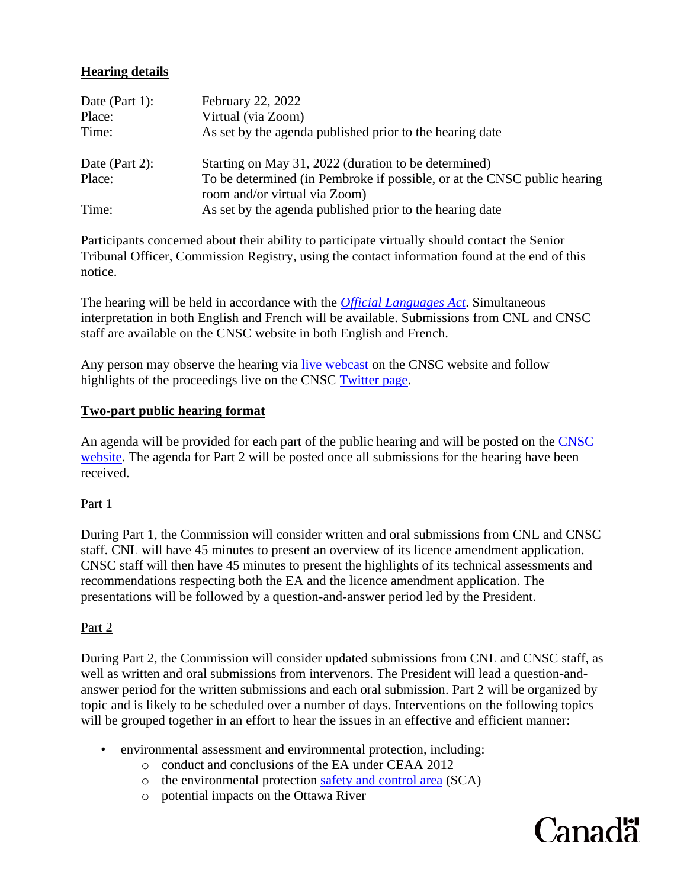# **Hearing details**

| Date (Part 1): | February 22, 2022                                                                                         |
|----------------|-----------------------------------------------------------------------------------------------------------|
| Place:         | Virtual (via Zoom)                                                                                        |
| Time:          | As set by the agenda published prior to the hearing date                                                  |
| Date (Part 2): | Starting on May 31, 2022 (duration to be determined)                                                      |
| Place:         | To be determined (in Pembroke if possible, or at the CNSC public hearing<br>room and/or virtual via Zoom) |
| Time:          | As set by the agenda published prior to the hearing date                                                  |

Participants concerned about their ability to participate virtually should contact the Senior Tribunal Officer, Commission Registry, using the contact information found at the end of this notice.

The hearing will be held in accordance with the *[Official Languages Act](https://laws-lois.justice.gc.ca/eng/acts/o-3.01/)*. Simultaneous interpretation in both English and French will be available. Submissions from CNL and CNSC staff are available on the CNSC website in both English and French.

Any person may observe the hearing via [live webcast](http://www.nuclearsafety.gc.ca/eng/the-commission/webcasts/index.cfm) on the CNSC website and follow highlights of the proceedings live on the CNSC [Twitter page.](https://twitter.com/CNSC_CCSN)

## **Two-part public hearing format**

An agenda will be provided for each part of the public hearing and will be posted on the [CNSC](http://nuclearsafety.gc.ca/eng/the-commission/hearings/documents_browse/results.cfm?dt=22-Feb-2022&yr=2022) [website.](http://nuclearsafety.gc.ca/eng/the-commission/hearings/documents_browse/results.cfm?dt=22-Feb-2022&yr=2022) The agenda for Part 2 will be posted once all submissions for the hearing have been received.

# Part 1

During Part 1, the Commission will consider written and oral submissions from CNL and CNSC staff. CNL will have 45 minutes to present an overview of its licence amendment application. CNSC staff will then have 45 minutes to present the highlights of its technical assessments and recommendations respecting both the EA and the licence amendment application. The presentations will be followed by a question-and-answer period led by the President.

# Part 2

During Part 2, the Commission will consider updated submissions from CNL and CNSC staff, as well as written and oral submissions from intervenors. The President will lead a question-andanswer period for the written submissions and each oral submission. Part 2 will be organized by topic and is likely to be scheduled over a number of days. Interventions on the following topics will be grouped together in an effort to hear the issues in an effective and efficient manner:

- environmental assessment and environmental protection, including:
	- o conduct and conclusions of the EA under CEAA 2012
	- o the environmental protection [safety and control area](https://nuclearsafety.gc.ca/eng/resources/publications/reports/powerindustry/safety-and-control-areas.cfm) (SCA)
	- o potential impacts on the Ottawa River

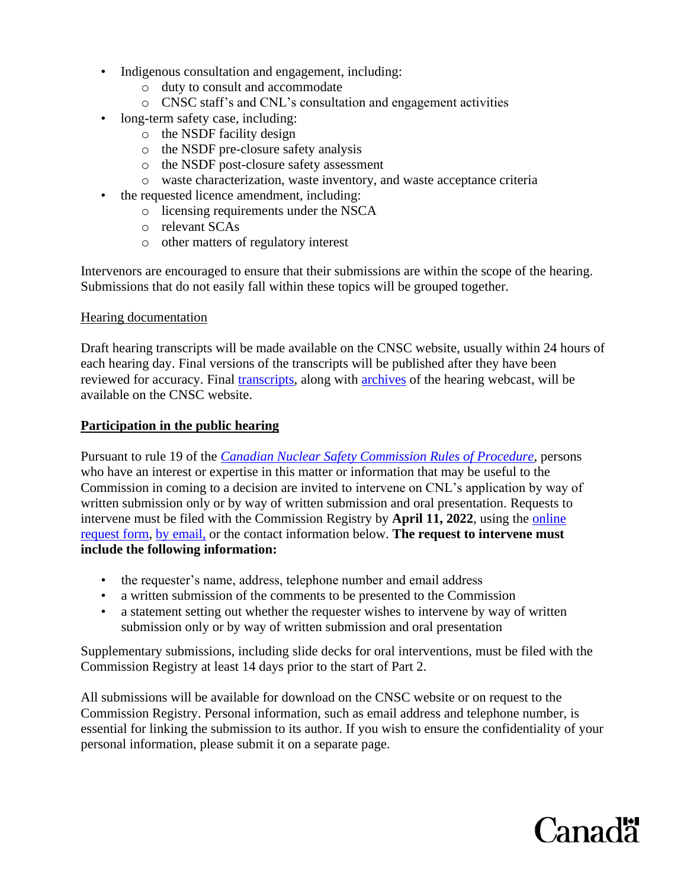- Indigenous consultation and engagement, including:
	- o duty to consult and accommodate
	- o CNSC staff's and CNL's consultation and engagement activities
- long-term safety case, including:
	- o the NSDF facility design
	- o the NSDF pre-closure safety analysis
	- o the NSDF post-closure safety assessment
	- o waste characterization, waste inventory, and waste acceptance criteria
- the requested licence amendment, including:
	- o licensing requirements under the NSCA
	- o relevant SCAs
	- o other matters of regulatory interest

Intervenors are encouraged to ensure that their submissions are within the scope of the hearing. Submissions that do not easily fall within these topics will be grouped together.

### Hearing documentation

Draft hearing transcripts will be made available on the CNSC website, usually within 24 hours of each hearing day. Final versions of the transcripts will be published after they have been reviewed for accuracy. Final [transcripts,](http://www.nuclearsafety.gc.ca/eng/the-commission/hearings/documents_browse/results.cfm?dt=31-May-2022&yr=2022) along with [archives](http://www.nuclearsafety.gc.ca/eng/the-commission/webcasts/archived/index.cfm) of the hearing webcast, will be available on the CNSC website.

## **Participation in the public hearing**

Pursuant to rule 19 of the *[Canadian Nuclear Safety Commission Rules of Procedure](https://laws.justice.gc.ca/eng/regulations/sor-2000-211/page-1.html)*, persons who have an interest or expertise in this matter or information that may be useful to the Commission in coming to a decision are invited to intervene on CNL's application by way of written submission only or by way of written submission and oral presentation. Requests to intervene must be filed with the Commission Registry by **April 11, 2022**, using the [online](http://www.nuclearsafety.gc.ca/eng/the-commission/intervention/) [request form,](http://www.nuclearsafety.gc.ca/eng/the-commission/intervention/) by [email,](mailto:interventions@cnsc-ccsn.gc.ca) or the contact information below. **The request to intervene must include the following information:**

- the requester's name, address, telephone number and email address
- a written submission of the comments to be presented to the Commission
- a statement setting out whether the requester wishes to intervene by way of written submission only or by way of written submission and oral presentation

Supplementary submissions, including slide decks for oral interventions, must be filed with the Commission Registry at least 14 days prior to the start of Part 2.

All submissions will be available for download on the CNSC website or on request to the Commission Registry. Personal information, such as email address and telephone number, is essential for linking the submission to its author. If you wish to ensure the confidentiality of your personal information, please submit it on a separate page.

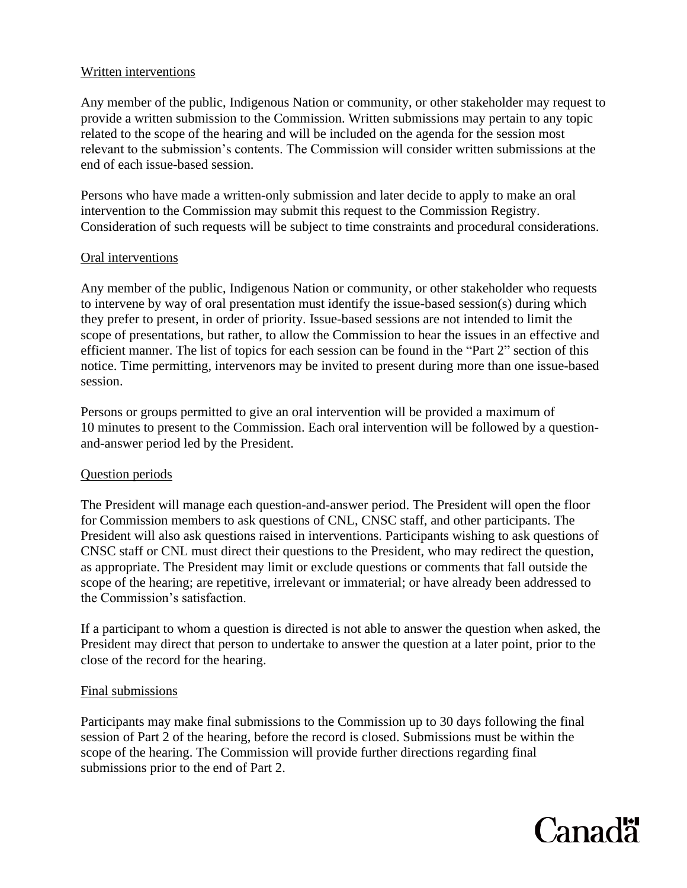## Written interventions

Any member of the public, Indigenous Nation or community, or other stakeholder may request to provide a written submission to the Commission. Written submissions may pertain to any topic related to the scope of the hearing and will be included on the agenda for the session most relevant to the submission's contents. The Commission will consider written submissions at the end of each issue-based session.

Persons who have made a written-only submission and later decide to apply to make an oral intervention to the Commission may submit this request to the Commission Registry. Consideration of such requests will be subject to time constraints and procedural considerations.

### Oral interventions

Any member of the public, Indigenous Nation or community, or other stakeholder who requests to intervene by way of oral presentation must identify the issue-based session(s) during which they prefer to present, in order of priority. Issue-based sessions are not intended to limit the scope of presentations, but rather, to allow the Commission to hear the issues in an effective and efficient manner. The list of topics for each session can be found in the "Part 2" section of this notice. Time permitting, intervenors may be invited to present during more than one issue-based session.

Persons or groups permitted to give an oral intervention will be provided a maximum of 10 minutes to present to the Commission. Each oral intervention will be followed by a questionand-answer period led by the President.

### Question periods

The President will manage each question-and-answer period. The President will open the floor for Commission members to ask questions of CNL, CNSC staff, and other participants. The President will also ask questions raised in interventions. Participants wishing to ask questions of CNSC staff or CNL must direct their questions to the President, who may redirect the question, as appropriate. The President may limit or exclude questions or comments that fall outside the scope of the hearing; are repetitive, irrelevant or immaterial; or have already been addressed to the Commission's satisfaction.

If a participant to whom a question is directed is not able to answer the question when asked, the President may direct that person to undertake to answer the question at a later point, prior to the close of the record for the hearing.

### Final submissions

Participants may make final submissions to the Commission up to 30 days following the final session of Part 2 of the hearing, before the record is closed. Submissions must be within the scope of the hearing. The Commission will provide further directions regarding final submissions prior to the end of Part 2.